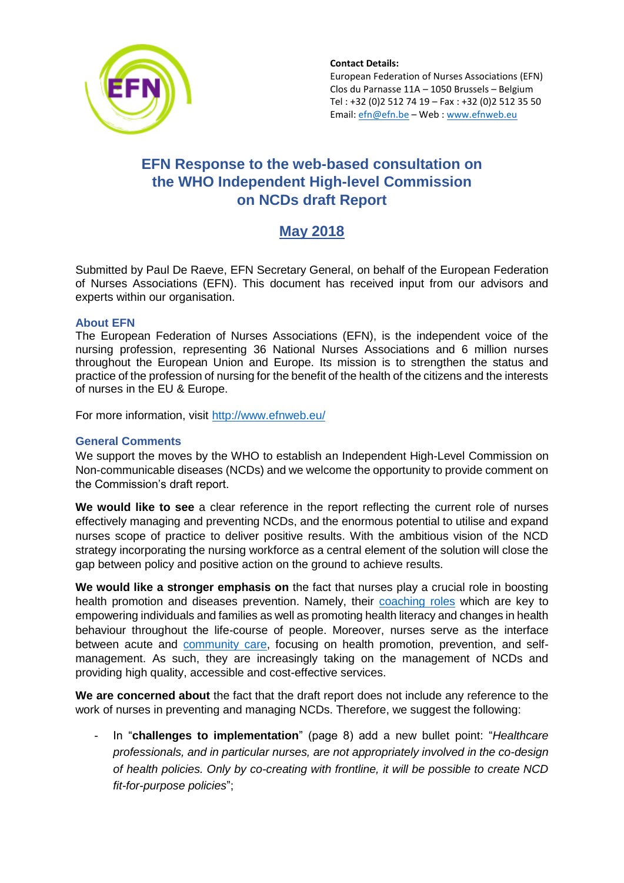

# **EFN Response to the web-based consultation on the WHO Independent High-level Commission on NCDs draft Report**

# **May 2018**

Submitted by Paul De Raeve, EFN Secretary General, on behalf of the European Federation of Nurses Associations (EFN). This document has received input from our advisors and experts within our organisation.

### **About EFN**

The European Federation of Nurses Associations (EFN), is the independent voice of the nursing profession, representing 36 National Nurses Associations and 6 million nurses throughout the European Union and Europe. Its mission is to strengthen the status and practice of the profession of nursing for the benefit of the health of the citizens and the interests of nurses in the EU & Europe.

For more information, visit<http://www.efnweb.eu/>

## **General Comments**

We support the moves by the WHO to establish an Independent High-Level Commission on Non-communicable diseases (NCDs) and we welcome the opportunity to provide comment on the Commission's draft report.

**We would like to see** a clear reference in the report reflecting the current role of nurses effectively managing and preventing NCDs, and the enormous potential to utilise and expand nurses scope of practice to deliver positive results. With the ambitious vision of the NCD strategy incorporating the nursing workforce as a central element of the solution will close the gap between policy and positive action on the ground to achieve results.

**We would like a stronger emphasis on** the fact that nurses play a crucial role in boosting health promotion and diseases prevention. Namely, their [coaching roles](http://www.efnweb.be/wp-content/uploads/EFN-Policy-Statement-on-Public-Health-Virtual-Coaching1.pdf) which are key to empowering individuals and families as well as promoting health literacy and changes in health behaviour throughout the life-course of people. Moreover, nurses serve as the interface between acute and [community care,](http://www.efnweb.be/wp-content/uploads/EFN-Position-Paper-on-Moving-Care-to-the-Community-Final042015.pdf) focusing on health promotion, prevention, and selfmanagement. As such, they are increasingly taking on the management of NCDs and providing high quality, accessible and cost-effective services.

**We are concerned about** the fact that the draft report does not include any reference to the work of nurses in preventing and managing NCDs. Therefore, we suggest the following:

- In "**challenges to implementation**" (page 8) add a new bullet point: "*Healthcare professionals, and in particular nurses, are not appropriately involved in the co-design of health policies. Only by co-creating with frontline, it will be possible to create NCD fit-for-purpose policies*";